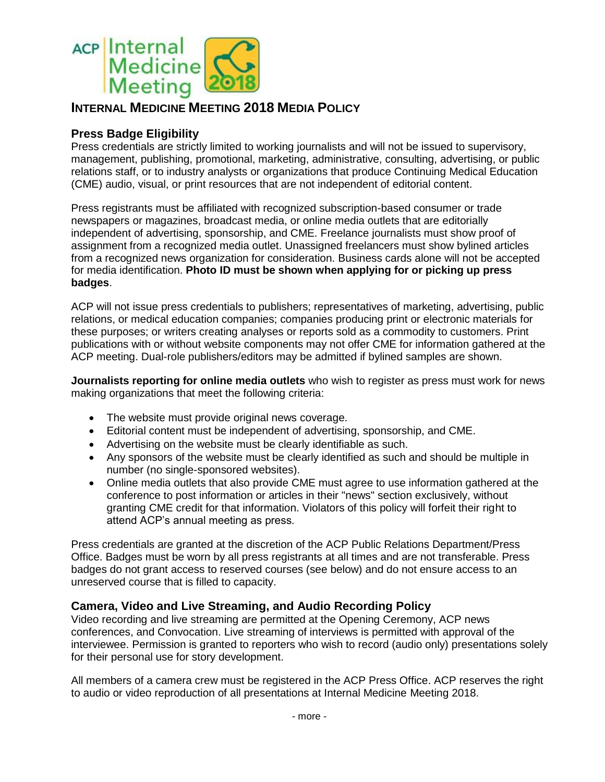

# **INTERNAL MEDICINE MEETING 2018 MEDIA POLICY**

## **Press Badge Eligibility**

Press credentials are strictly limited to working journalists and will not be issued to supervisory, management, publishing, promotional, marketing, administrative, consulting, advertising, or public relations staff, or to industry analysts or organizations that produce Continuing Medical Education (CME) audio, visual, or print resources that are not independent of editorial content.

Press registrants must be affiliated with recognized subscription-based consumer or trade newspapers or magazines, broadcast media, or online media outlets that are editorially independent of advertising, sponsorship, and CME. Freelance journalists must show proof of assignment from a recognized media outlet. Unassigned freelancers must show bylined articles from a recognized news organization for consideration. Business cards alone will not be accepted for media identification. **Photo ID must be shown when applying for or picking up press badges**.

ACP will not issue press credentials to publishers; representatives of marketing, advertising, public relations, or medical education companies; companies producing print or electronic materials for these purposes; or writers creating analyses or reports sold as a commodity to customers. Print publications with or without website components may not offer CME for information gathered at the ACP meeting. Dual-role publishers/editors may be admitted if bylined samples are shown.

**Journalists reporting for online media outlets** who wish to register as press must work for news making organizations that meet the following criteria:

- The website must provide original news coverage.
- Editorial content must be independent of advertising, sponsorship, and CME.
- Advertising on the website must be clearly identifiable as such.
- Any sponsors of the website must be clearly identified as such and should be multiple in number (no single-sponsored websites).
- Online media outlets that also provide CME must agree to use information gathered at the conference to post information or articles in their "news" section exclusively, without granting CME credit for that information. Violators of this policy will forfeit their right to attend ACP's annual meeting as press.

Press credentials are granted at the discretion of the ACP Public Relations Department/Press Office. Badges must be worn by all press registrants at all times and are not transferable. Press badges do not grant access to reserved courses (see below) and do not ensure access to an unreserved course that is filled to capacity.

## **Camera, Video and Live Streaming, and Audio Recording Policy**

Video recording and live streaming are permitted at the Opening Ceremony, ACP news conferences, and Convocation. Live streaming of interviews is permitted with approval of the interviewee. Permission is granted to reporters who wish to record (audio only) presentations solely for their personal use for story development.

All members of a camera crew must be registered in the ACP Press Office. ACP reserves the right to audio or video reproduction of all presentations at Internal Medicine Meeting 2018.